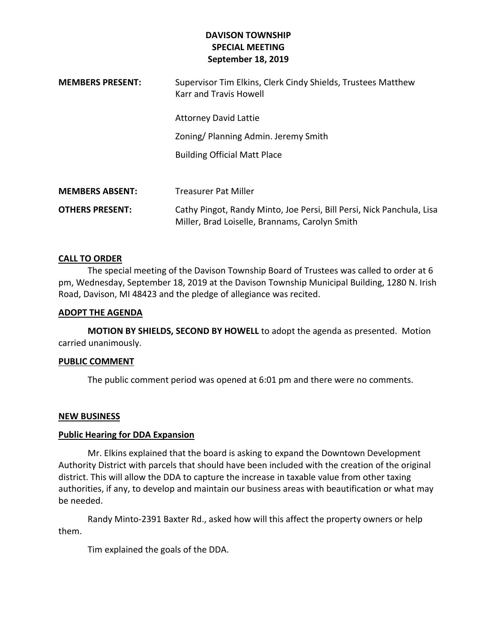# **DAVISON TOWNSHIP SPECIAL MEETING September 18, 2019**

| <b>MEMBERS PRESENT:</b> | Supervisor Tim Elkins, Clerk Cindy Shields, Trustees Matthew<br>Karr and Travis Howell                                  |
|-------------------------|-------------------------------------------------------------------------------------------------------------------------|
|                         | <b>Attorney David Lattie</b>                                                                                            |
|                         | Zoning/Planning Admin. Jeremy Smith                                                                                     |
|                         | <b>Building Official Matt Place</b>                                                                                     |
|                         |                                                                                                                         |
| <b>MEMBERS ABSENT:</b>  | <b>Treasurer Pat Miller</b>                                                                                             |
| <b>OTHERS PRESENT:</b>  | Cathy Pingot, Randy Minto, Joe Persi, Bill Persi, Nick Panchula, Lisa<br>Miller, Brad Loiselle, Brannams, Carolyn Smith |

### **CALL TO ORDER**

The special meeting of the Davison Township Board of Trustees was called to order at 6 pm, Wednesday, September 18, 2019 at the Davison Township Municipal Building, 1280 N. Irish Road, Davison, MI 48423 and the pledge of allegiance was recited.

#### **ADOPT THE AGENDA**

**MOTION BY SHIELDS, SECOND BY HOWELL** to adopt the agenda as presented. Motion carried unanimously.

### **PUBLIC COMMENT**

The public comment period was opened at 6:01 pm and there were no comments.

### **NEW BUSINESS**

### **Public Hearing for DDA Expansion**

Mr. Elkins explained that the board is asking to expand the Downtown Development Authority District with parcels that should have been included with the creation of the original district. This will allow the DDA to capture the increase in taxable value from other taxing authorities, if any, to develop and maintain our business areas with beautification or what may be needed.

Randy Minto-2391 Baxter Rd., asked how will this affect the property owners or help them.

Tim explained the goals of the DDA.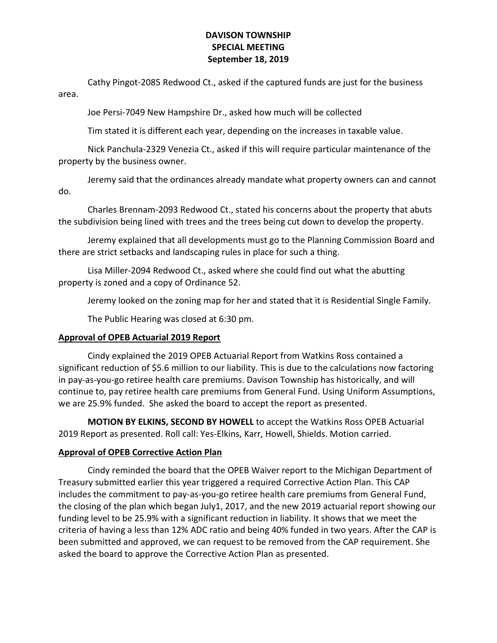## **DAVISON TOWNSHIP SPECIAL MEETING September 18, 2019**

Cathy Pingot-2085 Redwood Ct., asked if the captured funds are just for the business area.

Joe Persi-7049 New Hampshire Dr., asked how much will be collected

Tim stated it is different each year, depending on the increases in taxable value.

Nick Panchula-2329 Venezia Ct., asked if this will require particular maintenance of the property by the business owner.

Jeremy said that the ordinances already mandate what property owners can and cannot do.

Charles Brennam-2093 Redwood Ct., stated his concerns about the property that abuts the subdivision being lined with trees and the trees being cut down to develop the property.

Jeremy explained that all developments must go to the Planning Commission Board and there are strict setbacks and landscaping rules in place for such a thing.

Lisa Miller-2094 Redwood Ct., asked where she could find out what the abutting property is zoned and a copy of Ordinance 52.

Jeremy looked on the zoning map for her and stated that it is Residential Single Family.

The Public Hearing was closed at 6:30 pm.

# **Approval of OPEB Actuarial 2019 Report**

Cindy explained the 2019 OPEB Actuarial Report from Watkins Ross contained a significant reduction of \$5.6 million to our liability. This is due to the calculations now factoring in pay-as-you-go retiree health care premiums. Davison Township has historically, and will continue to, pay retiree health care premiums from General Fund. Using Uniform Assumptions, we are 25.9% funded. She asked the board to accept the report as presented.

**MOTION BY ELKINS, SECOND BY HOWELL** to accept the Watkins Ross OPEB Actuarial 2019 Report as presented. Roll call: Yes-Elkins, Karr, Howell, Shields. Motion carried.

## **Approval of OPEB Corrective Action Plan**

Cindy reminded the board that the OPEB Waiver report to the Michigan Department of Treasury submitted earlier this year triggered a required Corrective Action Plan. This CAP includes the commitment to pay-as-you-go retiree health care premiums from General Fund, the closing of the plan which began July1, 2017, and the new 2019 actuarial report showing our funding level to be 25.9% with a significant reduction in liability. It shows that we meet the criteria of having a less than 12% ADC ratio and being 40% funded in two years. After the CAP is been submitted and approved, we can request to be removed from the CAP requirement. She asked the board to approve the Corrective Action Plan as presented.